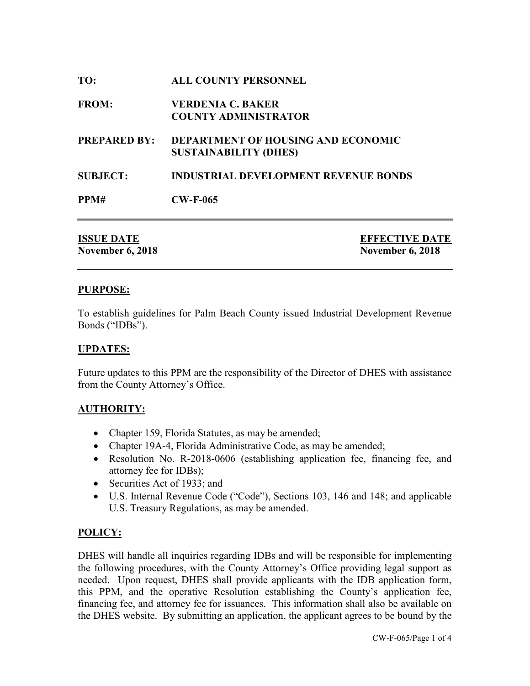| TO:                 | <b>ALL COUNTY PERSONNEL</b>                                               |
|---------------------|---------------------------------------------------------------------------|
| <b>FROM:</b>        | <b>VERDENIA C. BAKER</b><br><b>COUNTY ADMINISTRATOR</b>                   |
| <b>PREPARED BY:</b> | <b>DEPARTMENT OF HOUSING AND ECONOMIC</b><br><b>SUSTAINABILITY (DHES)</b> |
| <b>SUBJECT:</b>     | <b>INDUSTRIAL DEVELOPMENT REVENUE BONDS</b>                               |
| PPM#                | $CW-F-065$                                                                |
|                     |                                                                           |

| <b>ISSUE DATE</b>       | <b>EFFECTIVE DATE</b>   |
|-------------------------|-------------------------|
| <b>November 6, 2018</b> | <b>November 6, 2018</b> |

## **PURPOSE:**

To establish guidelines for Palm Beach County issued Industrial Development Revenue Bonds ("IDBs").

### **UPDATES:**

Future updates to this PPM are the responsibility of the Director of DHES with assistance from the County Attorney's Office.

### **AUTHORITY:**

- Chapter 159, Florida Statutes, as may be amended;
- Chapter 19A-4, Florida Administrative Code, as may be amended;
- Resolution No. R-2018-0606 (establishing application fee, financing fee, and attorney fee for IDBs);
- Securities Act of 1933; and
- U.S. Internal Revenue Code ("Code"), Sections 103, 146 and 148; and applicable U.S. Treasury Regulations, as may be amended.

## **POLICY:**

DHES will handle all inquiries regarding IDBs and will be responsible for implementing the following procedures, with the County Attorney's Office providing legal support as needed. Upon request, DHES shall provide applicants with the IDB application form, this PPM, and the operative Resolution establishing the County's application fee, financing fee, and attorney fee for issuances. This information shall also be available on the DHES website. By submitting an application, the applicant agrees to be bound by the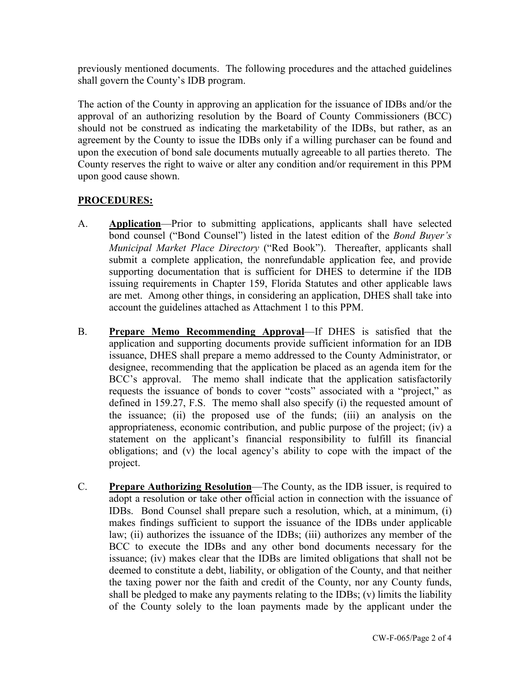previously mentioned documents. The following procedures and the attached guidelines shall govern the County's IDB program.

The action of the County in approving an application for the issuance of IDBs and/or the approval of an authorizing resolution by the Board of County Commissioners (BCC) should not be construed as indicating the marketability of the IDBs, but rather, as an agreement by the County to issue the IDBs only if a willing purchaser can be found and upon the execution of bond sale documents mutually agreeable to all parties thereto. The County reserves the right to waive or alter any condition and/or requirement in this PPM upon good cause shown.

# **PROCEDURES:**

- A. **Application**—Prior to submitting applications, applicants shall have selected bond counsel ("Bond Counsel") listed in the latest edition of the *Bond Buyer's Municipal Market Place Directory* ("Red Book"). Thereafter, applicants shall submit a complete application, the nonrefundable application fee, and provide supporting documentation that is sufficient for DHES to determine if the IDB issuing requirements in Chapter 159, Florida Statutes and other applicable laws are met. Among other things, in considering an application, DHES shall take into account the guidelines attached as Attachment 1 to this PPM.
- B. **Prepare Memo Recommending Approval**—If DHES is satisfied that the application and supporting documents provide sufficient information for an IDB issuance, DHES shall prepare a memo addressed to the County Administrator, or designee, recommending that the application be placed as an agenda item for the BCC's approval. The memo shall indicate that the application satisfactorily requests the issuance of bonds to cover "costs" associated with a "project," as defined in 159.27, F.S. The memo shall also specify (i) the requested amount of the issuance; (ii) the proposed use of the funds; (iii) an analysis on the appropriateness, economic contribution, and public purpose of the project; (iv) a statement on the applicant's financial responsibility to fulfill its financial obligations; and (v) the local agency's ability to cope with the impact of the project.
- C. **Prepare Authorizing Resolution**—The County, as the IDB issuer, is required to adopt a resolution or take other official action in connection with the issuance of IDBs. Bond Counsel shall prepare such a resolution, which, at a minimum, (i) makes findings sufficient to support the issuance of the IDBs under applicable law; (ii) authorizes the issuance of the IDBs; (iii) authorizes any member of the BCC to execute the IDBs and any other bond documents necessary for the issuance; (iv) makes clear that the IDBs are limited obligations that shall not be deemed to constitute a debt, liability, or obligation of the County, and that neither the taxing power nor the faith and credit of the County, nor any County funds, shall be pledged to make any payments relating to the IDBs; (v) limits the liability of the County solely to the loan payments made by the applicant under the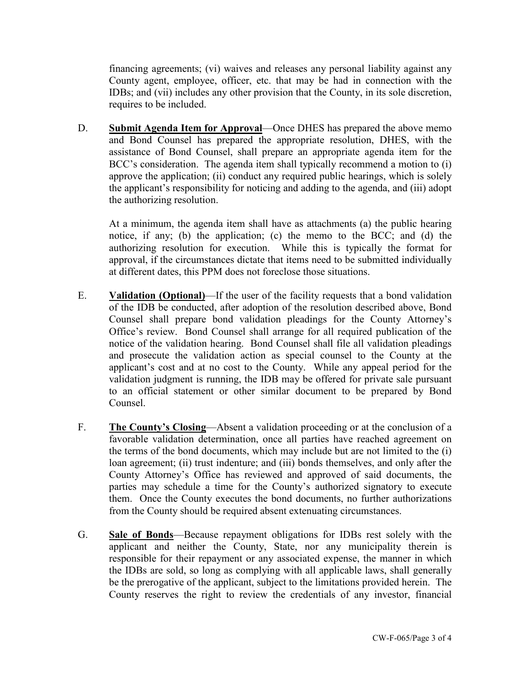financing agreements; (vi) waives and releases any personal liability against any County agent, employee, officer, etc. that may be had in connection with the IDBs; and (vii) includes any other provision that the County, in its sole discretion, requires to be included.

D. **Submit Agenda Item for Approval**—Once DHES has prepared the above memo and Bond Counsel has prepared the appropriate resolution, DHES, with the assistance of Bond Counsel, shall prepare an appropriate agenda item for the BCC's consideration. The agenda item shall typically recommend a motion to (i) approve the application; (ii) conduct any required public hearings, which is solely the applicant's responsibility for noticing and adding to the agenda, and (iii) adopt the authorizing resolution.

At a minimum, the agenda item shall have as attachments (a) the public hearing notice, if any; (b) the application; (c) the memo to the BCC; and (d) the authorizing resolution for execution. While this is typically the format for approval, if the circumstances dictate that items need to be submitted individually at different dates, this PPM does not foreclose those situations.

- E. **Validation (Optional)**—If the user of the facility requests that a bond validation of the IDB be conducted, after adoption of the resolution described above, Bond Counsel shall prepare bond validation pleadings for the County Attorney's Office's review. Bond Counsel shall arrange for all required publication of the notice of the validation hearing. Bond Counsel shall file all validation pleadings and prosecute the validation action as special counsel to the County at the applicant's cost and at no cost to the County. While any appeal period for the validation judgment is running, the IDB may be offered for private sale pursuant to an official statement or other similar document to be prepared by Bond Counsel.
- F. **The County's Closing**—Absent a validation proceeding or at the conclusion of a favorable validation determination, once all parties have reached agreement on the terms of the bond documents, which may include but are not limited to the (i) loan agreement; (ii) trust indenture; and (iii) bonds themselves, and only after the County Attorney's Office has reviewed and approved of said documents, the parties may schedule a time for the County's authorized signatory to execute them. Once the County executes the bond documents, no further authorizations from the County should be required absent extenuating circumstances.
- G. **Sale of Bonds**—Because repayment obligations for IDBs rest solely with the applicant and neither the County, State, nor any municipality therein is responsible for their repayment or any associated expense, the manner in which the IDBs are sold, so long as complying with all applicable laws, shall generally be the prerogative of the applicant, subject to the limitations provided herein. The County reserves the right to review the credentials of any investor, financial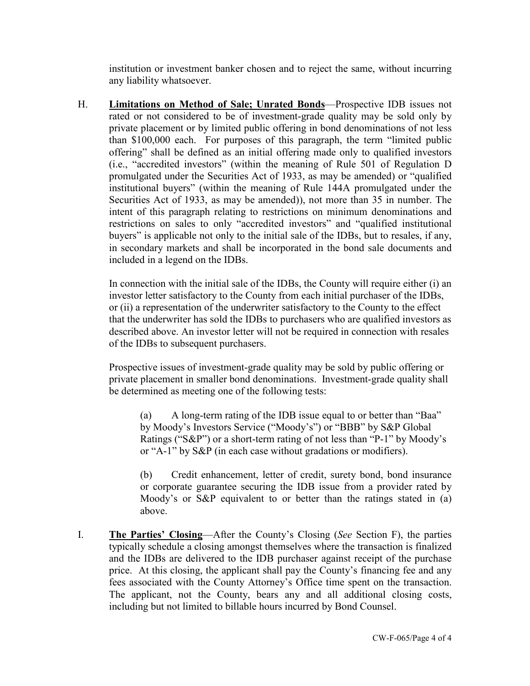institution or investment banker chosen and to reject the same, without incurring any liability whatsoever.

H. **Limitations on Method of Sale; Unrated Bonds**—Prospective IDB issues not rated or not considered to be of investment-grade quality may be sold only by private placement or by limited public offering in bond denominations of not less than \$100,000 each. For purposes of this paragraph, the term "limited public offering" shall be defined as an initial offering made only to qualified investors (i.e., "accredited investors" (within the meaning of Rule 501 of Regulation D promulgated under the Securities Act of 1933, as may be amended) or "qualified institutional buyers" (within the meaning of Rule 144A promulgated under the Securities Act of 1933, as may be amended)), not more than 35 in number. The intent of this paragraph relating to restrictions on minimum denominations and restrictions on sales to only "accredited investors" and "qualified institutional buyers" is applicable not only to the initial sale of the IDBs, but to resales, if any, in secondary markets and shall be incorporated in the bond sale documents and included in a legend on the IDBs.

In connection with the initial sale of the IDBs, the County will require either (i) an investor letter satisfactory to the County from each initial purchaser of the IDBs, or (ii) a representation of the underwriter satisfactory to the County to the effect that the underwriter has sold the IDBs to purchasers who are qualified investors as described above. An investor letter will not be required in connection with resales of the IDBs to subsequent purchasers.

Prospective issues of investment-grade quality may be sold by public offering or private placement in smaller bond denominations. Investment-grade quality shall be determined as meeting one of the following tests:

(a) A long-term rating of the IDB issue equal to or better than "Baa" by Moody's Investors Service ("Moody's") or "BBB" by S&P Global Ratings ("S&P") or a short-term rating of not less than "P-1" by Moody's or "A-1" by S&P (in each case without gradations or modifiers).

(b) Credit enhancement, letter of credit, surety bond, bond insurance or corporate guarantee securing the IDB issue from a provider rated by Moody's or S&P equivalent to or better than the ratings stated in (a) above.

I. **The Parties' Closing**—After the County's Closing (*See* Section F), the parties typically schedule a closing amongst themselves where the transaction is finalized and the IDBs are delivered to the IDB purchaser against receipt of the purchase price. At this closing, the applicant shall pay the County's financing fee and any fees associated with the County Attorney's Office time spent on the transaction. The applicant, not the County, bears any and all additional closing costs, including but not limited to billable hours incurred by Bond Counsel.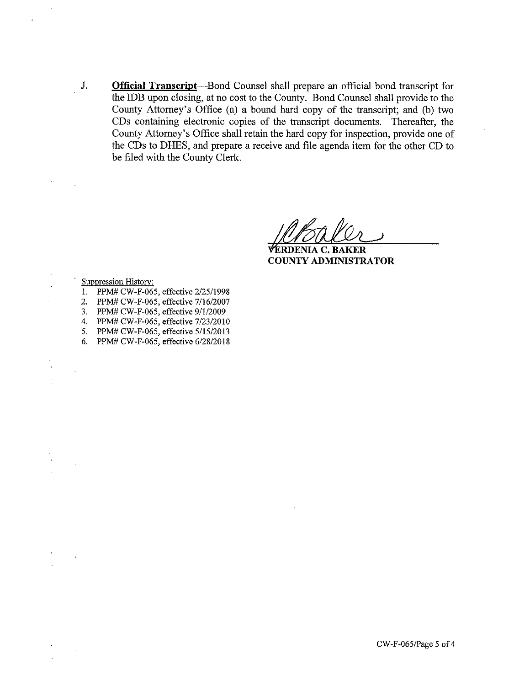**Official Transcript**—Bond Counsel shall prepare an official bond transcript for the IDB upon closing, at no cost to the County. Bond Counsel shall provide to the County Attorney's Office (a) a bound hard copy of the transcript; and (b) two CDs containing electronic copies of the transcript documents. Thereafter, the County Attorney's Office shall retain the hard copy for inspection, provide one of the CDs to DHES, and prepare a receive and file agenda item for the other CD to be filed with the County Clerk.

FERDENIA C. BAKER **COUNTY ADMINISTRATOR** 

**Suppression History:** 

J.

- 1. PPM# CW-F-065, effective 2/25/1998
- 2. PPM# CW-F-065, effective 7/16/2007
- 3. PPM# CW-F-065, effective 9/1/2009
- 4. PPM# CW-F-065, effective 7/23/2010
- 5. PPM# CW-F-065, effective 5/15/2013
- 6. PPM# CW-F-065, effective 6/28/2018

CW-F-065/Page 5 of 4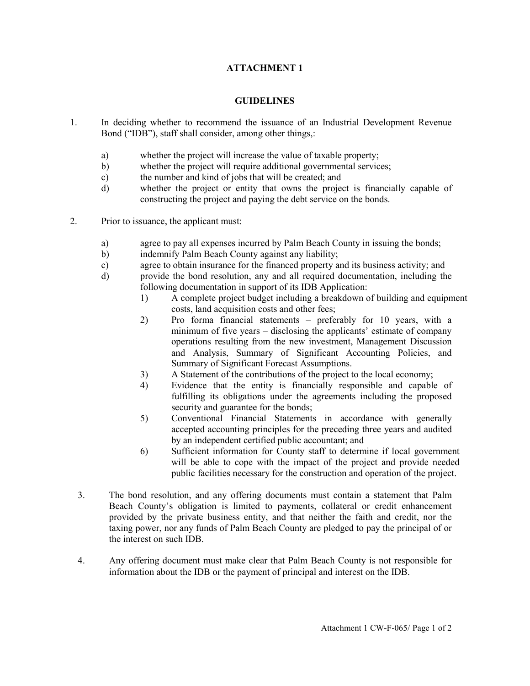### **ATTACHMENT 1**

#### **GUIDELINES**

- 1. In deciding whether to recommend the issuance of an Industrial Development Revenue Bond ("IDB"), staff shall consider, among other things,:
	- a) whether the project will increase the value of taxable property;
	- b) whether the project will require additional governmental services;
	- c) the number and kind of jobs that will be created; and
	- d) whether the project or entity that owns the project is financially capable of constructing the project and paying the debt service on the bonds.
- 2. Prior to issuance, the applicant must:
	- a) agree to pay all expenses incurred by Palm Beach County in issuing the bonds;
	- b) indemnify Palm Beach County against any liability;
	- c) agree to obtain insurance for the financed property and its business activity; and
	- d) provide the bond resolution, any and all required documentation, including the following documentation in support of its IDB Application:
		- 1) A complete project budget including a breakdown of building and equipment costs, land acquisition costs and other fees;
		- 2) Pro forma financial statements preferably for 10 years, with a minimum of five years – disclosing the applicants' estimate of company operations resulting from the new investment, Management Discussion and Analysis, Summary of Significant Accounting Policies, and Summary of Significant Forecast Assumptions.
		- 3) A Statement of the contributions of the project to the local economy;
		- 4) Evidence that the entity is financially responsible and capable of fulfilling its obligations under the agreements including the proposed security and guarantee for the bonds;
		- 5) Conventional Financial Statements in accordance with generally accepted accounting principles for the preceding three years and audited by an independent certified public accountant; and
		- 6) Sufficient information for County staff to determine if local government will be able to cope with the impact of the project and provide needed public facilities necessary for the construction and operation of the project.
	- 3. The bond resolution, and any offering documents must contain a statement that Palm Beach County's obligation is limited to payments, collateral or credit enhancement provided by the private business entity, and that neither the faith and credit, nor the taxing power, nor any funds of Palm Beach County are pledged to pay the principal of or the interest on such IDB.
	- 4. Any offering document must make clear that Palm Beach County is not responsible for information about the IDB or the payment of principal and interest on the IDB.